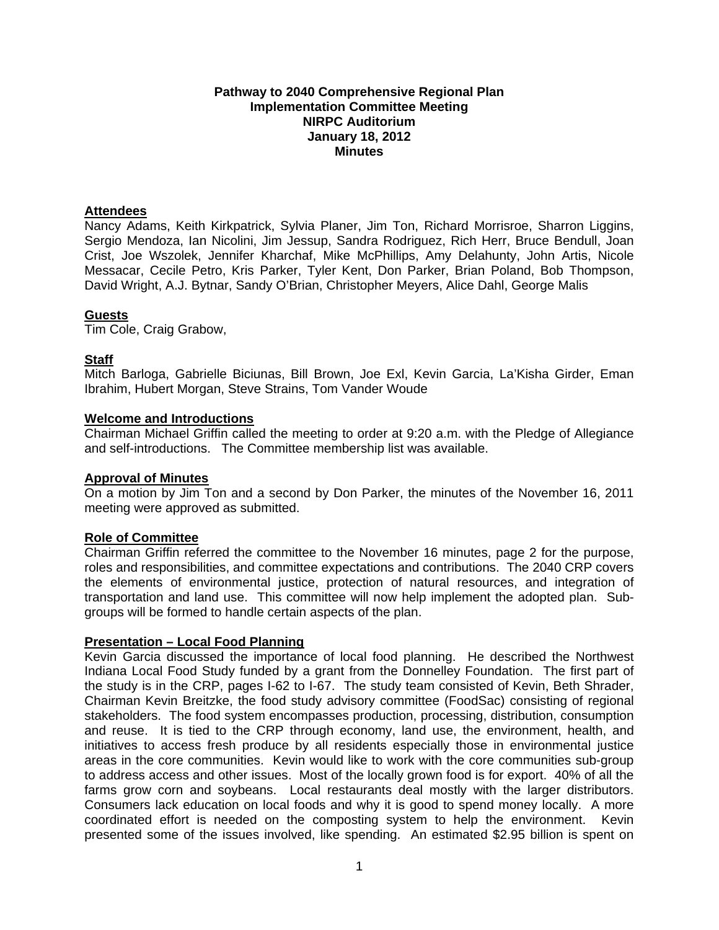### **Pathway to 2040 Comprehensive Regional Plan Implementation Committee Meeting NIRPC Auditorium January 18, 2012 Minutes**

### **Attendees**

Nancy Adams, Keith Kirkpatrick, Sylvia Planer, Jim Ton, Richard Morrisroe, Sharron Liggins, Sergio Mendoza, Ian Nicolini, Jim Jessup, Sandra Rodriguez, Rich Herr, Bruce Bendull, Joan Crist, Joe Wszolek, Jennifer Kharchaf, Mike McPhillips, Amy Delahunty, John Artis, Nicole Messacar, Cecile Petro, Kris Parker, Tyler Kent, Don Parker, Brian Poland, Bob Thompson, David Wright, A.J. Bytnar, Sandy O'Brian, Christopher Meyers, Alice Dahl, George Malis

### **Guests**

Tim Cole, Craig Grabow,

### **Staff**

Mitch Barloga, Gabrielle Biciunas, Bill Brown, Joe Exl, Kevin Garcia, La'Kisha Girder, Eman Ibrahim, Hubert Morgan, Steve Strains, Tom Vander Woude

### **Welcome and Introductions**

Chairman Michael Griffin called the meeting to order at 9:20 a.m. with the Pledge of Allegiance and self-introductions. The Committee membership list was available.

## **Approval of Minutes**

On a motion by Jim Ton and a second by Don Parker, the minutes of the November 16, 2011 meeting were approved as submitted.

## **Role of Committee**

Chairman Griffin referred the committee to the November 16 minutes, page 2 for the purpose, roles and responsibilities, and committee expectations and contributions. The 2040 CRP covers the elements of environmental justice, protection of natural resources, and integration of transportation and land use. This committee will now help implement the adopted plan. Subgroups will be formed to handle certain aspects of the plan.

## **Presentation – Local Food Planning**

Kevin Garcia discussed the importance of local food planning. He described the Northwest Indiana Local Food Study funded by a grant from the Donnelley Foundation. The first part of the study is in the CRP, pages I-62 to I-67. The study team consisted of Kevin, Beth Shrader, Chairman Kevin Breitzke, the food study advisory committee (FoodSac) consisting of regional stakeholders. The food system encompasses production, processing, distribution, consumption and reuse. It is tied to the CRP through economy, land use, the environment, health, and initiatives to access fresh produce by all residents especially those in environmental justice areas in the core communities. Kevin would like to work with the core communities sub-group to address access and other issues. Most of the locally grown food is for export. 40% of all the farms grow corn and soybeans. Local restaurants deal mostly with the larger distributors. Consumers lack education on local foods and why it is good to spend money locally. A more coordinated effort is needed on the composting system to help the environment. Kevin presented some of the issues involved, like spending. An estimated \$2.95 billion is spent on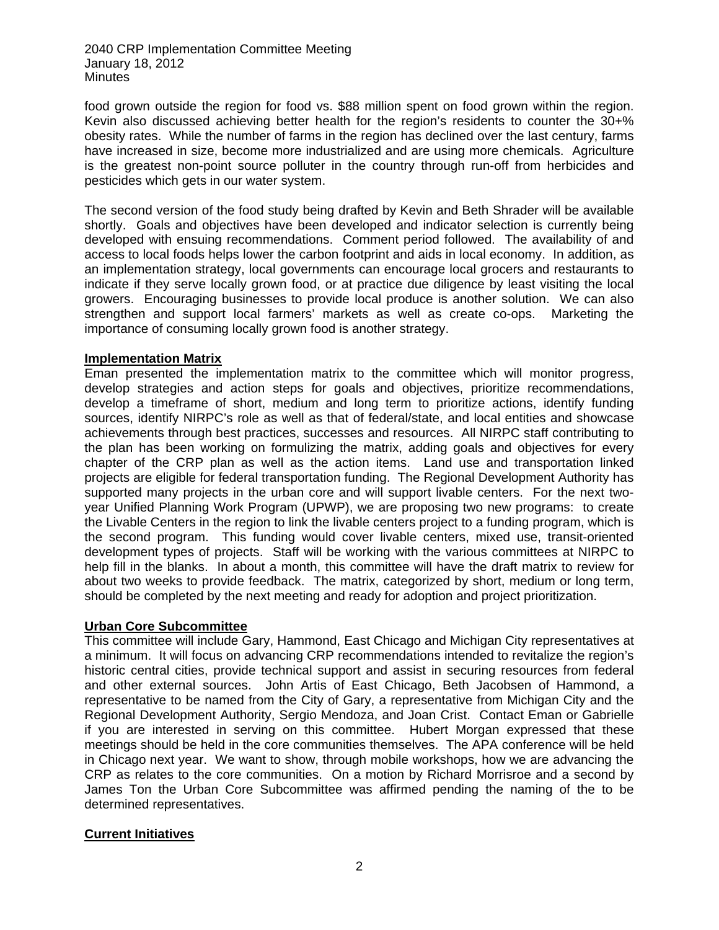2040 CRP Implementation Committee Meeting January 18, 2012 Minutes

food grown outside the region for food vs. \$88 million spent on food grown within the region. Kevin also discussed achieving better health for the region's residents to counter the 30+% obesity rates. While the number of farms in the region has declined over the last century, farms have increased in size, become more industrialized and are using more chemicals. Agriculture is the greatest non-point source polluter in the country through run-off from herbicides and pesticides which gets in our water system.

The second version of the food study being drafted by Kevin and Beth Shrader will be available shortly. Goals and objectives have been developed and indicator selection is currently being developed with ensuing recommendations. Comment period followed. The availability of and access to local foods helps lower the carbon footprint and aids in local economy. In addition, as an implementation strategy, local governments can encourage local grocers and restaurants to indicate if they serve locally grown food, or at practice due diligence by least visiting the local growers. Encouraging businesses to provide local produce is another solution. We can also strengthen and support local farmers' markets as well as create co-ops. Marketing the importance of consuming locally grown food is another strategy.

### **Implementation Matrix**

Eman presented the implementation matrix to the committee which will monitor progress, develop strategies and action steps for goals and objectives, prioritize recommendations, develop a timeframe of short, medium and long term to prioritize actions, identify funding sources, identify NIRPC's role as well as that of federal/state, and local entities and showcase achievements through best practices, successes and resources. All NIRPC staff contributing to the plan has been working on formulizing the matrix, adding goals and objectives for every chapter of the CRP plan as well as the action items. Land use and transportation linked projects are eligible for federal transportation funding. The Regional Development Authority has supported many projects in the urban core and will support livable centers. For the next twoyear Unified Planning Work Program (UPWP), we are proposing two new programs: to create the Livable Centers in the region to link the livable centers project to a funding program, which is the second program. This funding would cover livable centers, mixed use, transit-oriented development types of projects. Staff will be working with the various committees at NIRPC to help fill in the blanks. In about a month, this committee will have the draft matrix to review for about two weeks to provide feedback. The matrix, categorized by short, medium or long term, should be completed by the next meeting and ready for adoption and project prioritization.

# **Urban Core Subcommittee**

This committee will include Gary, Hammond, East Chicago and Michigan City representatives at a minimum. It will focus on advancing CRP recommendations intended to revitalize the region's historic central cities, provide technical support and assist in securing resources from federal and other external sources. John Artis of East Chicago, Beth Jacobsen of Hammond, a representative to be named from the City of Gary, a representative from Michigan City and the Regional Development Authority, Sergio Mendoza, and Joan Crist. Contact Eman or Gabrielle if you are interested in serving on this committee. Hubert Morgan expressed that these meetings should be held in the core communities themselves. The APA conference will be held in Chicago next year. We want to show, through mobile workshops, how we are advancing the CRP as relates to the core communities. On a motion by Richard Morrisroe and a second by James Ton the Urban Core Subcommittee was affirmed pending the naming of the to be determined representatives.

# **Current Initiatives**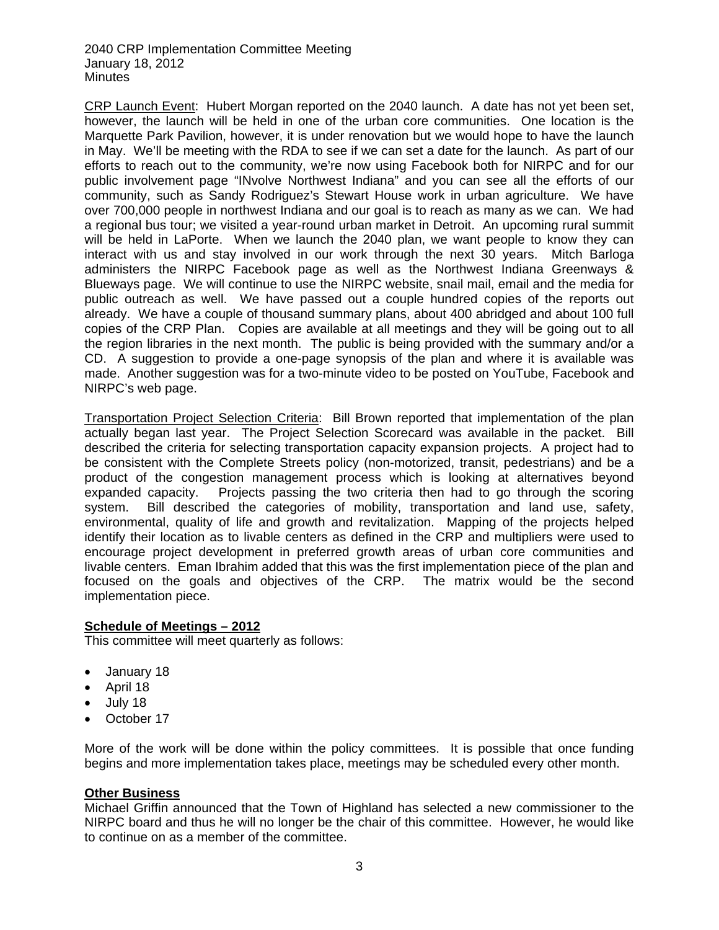2040 CRP Implementation Committee Meeting January 18, 2012 Minutes

CRP Launch Event: Hubert Morgan reported on the 2040 launch. A date has not yet been set, however, the launch will be held in one of the urban core communities. One location is the Marquette Park Pavilion, however, it is under renovation but we would hope to have the launch in May. We'll be meeting with the RDA to see if we can set a date for the launch. As part of our efforts to reach out to the community, we're now using Facebook both for NIRPC and for our public involvement page "INvolve Northwest Indiana" and you can see all the efforts of our community, such as Sandy Rodriguez's Stewart House work in urban agriculture. We have over 700,000 people in northwest Indiana and our goal is to reach as many as we can. We had a regional bus tour; we visited a year-round urban market in Detroit. An upcoming rural summit will be held in LaPorte. When we launch the 2040 plan, we want people to know they can interact with us and stay involved in our work through the next 30 years. Mitch Barloga administers the NIRPC Facebook page as well as the Northwest Indiana Greenways & Blueways page. We will continue to use the NIRPC website, snail mail, email and the media for public outreach as well. We have passed out a couple hundred copies of the reports out already. We have a couple of thousand summary plans, about 400 abridged and about 100 full copies of the CRP Plan. Copies are available at all meetings and they will be going out to all the region libraries in the next month. The public is being provided with the summary and/or a CD. A suggestion to provide a one-page synopsis of the plan and where it is available was made. Another suggestion was for a two-minute video to be posted on YouTube, Facebook and NIRPC's web page.

Transportation Project Selection Criteria: Bill Brown reported that implementation of the plan actually began last year. The Project Selection Scorecard was available in the packet. Bill described the criteria for selecting transportation capacity expansion projects. A project had to be consistent with the Complete Streets policy (non-motorized, transit, pedestrians) and be a product of the congestion management process which is looking at alternatives beyond expanded capacity. Projects passing the two criteria then had to go through the scoring system. Bill described the categories of mobility, transportation and land use, safety, environmental, quality of life and growth and revitalization. Mapping of the projects helped identify their location as to livable centers as defined in the CRP and multipliers were used to encourage project development in preferred growth areas of urban core communities and livable centers. Eman Ibrahim added that this was the first implementation piece of the plan and focused on the goals and objectives of the CRP. The matrix would be the second implementation piece.

### **Schedule of Meetings – 2012**

This committee will meet quarterly as follows:

- January 18
- April 18
- $\bullet$  July 18
- October 17

More of the work will be done within the policy committees. It is possible that once funding begins and more implementation takes place, meetings may be scheduled every other month.

### **Other Business**

Michael Griffin announced that the Town of Highland has selected a new commissioner to the NIRPC board and thus he will no longer be the chair of this committee. However, he would like to continue on as a member of the committee.